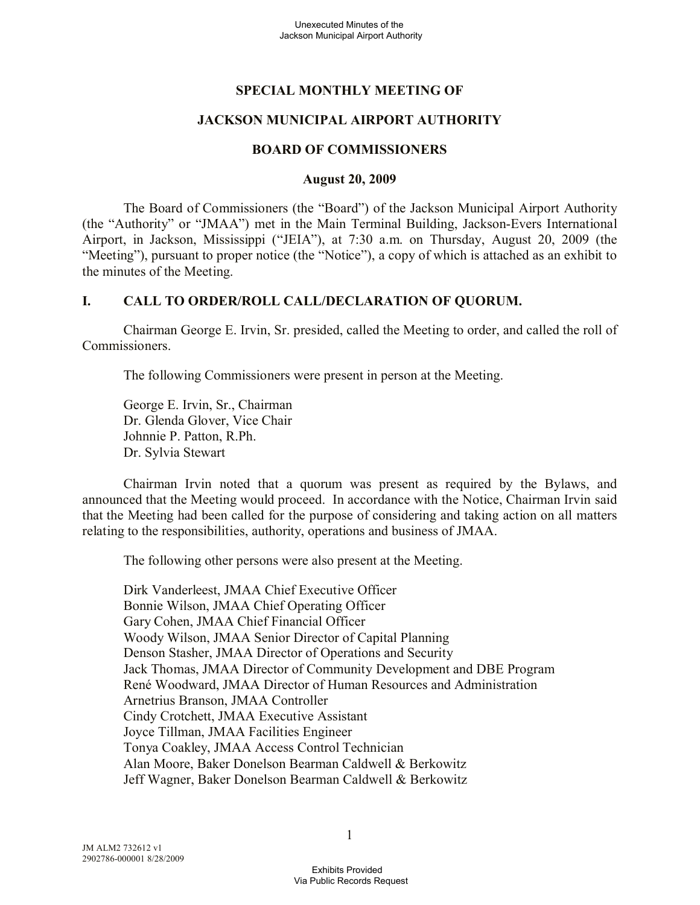## **SPECIAL MONTHLY MEETING OF**

### **JACKSON MUNICIPAL AIRPORT AUTHORITY**

#### **BOARD OF COMMISSIONERS**

#### **August 20, 2009**

The Board of Commissioners (the "Board") of the Jackson Municipal Airport Authority (the "Authority" or "JMAA") met in the Main Terminal Building, Jackson-Evers International Airport, in Jackson, Mississippi ("JEIA"), at 7:30 a.m. on Thursday, August 20, 2009 (the "Meeting"), pursuant to proper notice (the "Notice"), a copy of which is attached as an exhibit to the minutes of the Meeting.

#### **I. CALL TO ORDER/ROLL CALL/DECLARATION OF QUORUM.**

Chairman George E. Irvin, Sr. presided, called the Meeting to order, and called the roll of Commissioners.

The following Commissioners were present in person at the Meeting.

George E. Irvin, Sr., Chairman Dr. Glenda Glover, Vice Chair Johnnie P. Patton, R.Ph. Dr. Sylvia Stewart

Chairman Irvin noted that a quorum was present as required by the Bylaws, and announced that the Meeting would proceed. In accordance with the Notice, Chairman Irvin said that the Meeting had been called for the purpose of considering and taking action on all matters relating to the responsibilities, authority, operations and business of JMAA.

The following other persons were also present at the Meeting.

Dirk Vanderleest, JMAA Chief Executive Officer Bonnie Wilson, JMAA Chief Operating Officer Gary Cohen, JMAA Chief Financial Officer Woody Wilson, JMAA Senior Director of Capital Planning Denson Stasher, JMAA Director of Operations and Security Jack Thomas, JMAA Director of Community Development and DBE Program René Woodward, JMAA Director of Human Resources and Administration Arnetrius Branson, JMAA Controller Cindy Crotchett, JMAA Executive Assistant Joyce Tillman, JMAA Facilities Engineer Tonya Coakley, JMAA Access Control Technician Alan Moore, Baker Donelson Bearman Caldwell & Berkowitz Jeff Wagner, Baker Donelson Bearman Caldwell & Berkowitz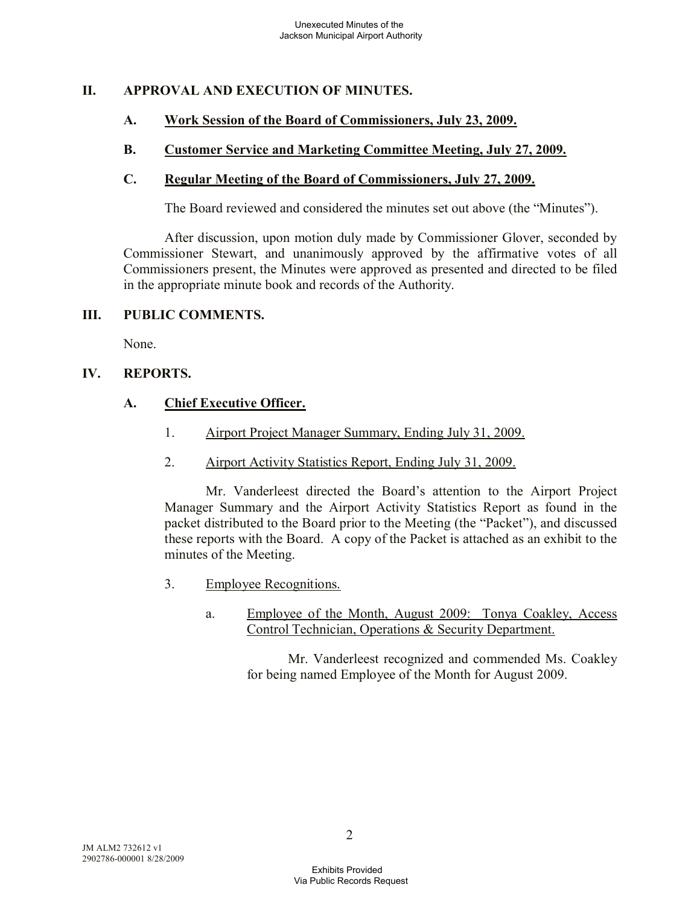## **II. APPROVAL AND EXECUTION OF MINUTES.**

### **A. Work Session of the Board of Commissioners, July 23, 2009.**

### **B. Customer Service and Marketing Committee Meeting, July 27, 2009.**

#### **C. Regular Meeting of the Board of Commissioners, July 27, 2009.**

The Board reviewed and considered the minutes set out above (the "Minutes").

After discussion, upon motion duly made by Commissioner Glover, seconded by Commissioner Stewart, and unanimously approved by the affirmative votes of all Commissioners present, the Minutes were approved as presented and directed to be filed in the appropriate minute book and records of the Authority.

#### **III. PUBLIC COMMENTS.**

None.

#### **IV. REPORTS.**

#### **A. Chief Executive Officer.**

- 1. Airport Project Manager Summary, Ending July 31, 2009.
- 2. Airport Activity Statistics Report, Ending July 31, 2009.

Mr. Vanderleest directed the Board's attention to the Airport Project Manager Summary and the Airport Activity Statistics Report as found in the packet distributed to the Board prior to the Meeting (the "Packet"), and discussed these reports with the Board. A copy of the Packet is attached as an exhibit to the minutes of the Meeting.

- 3. Employee Recognitions.
	- a. Employee of the Month, August 2009: Tonya Coakley, Access Control Technician, Operations & Security Department.

Mr. Vanderleest recognized and commended Ms. Coakley for being named Employee of the Month for August 2009.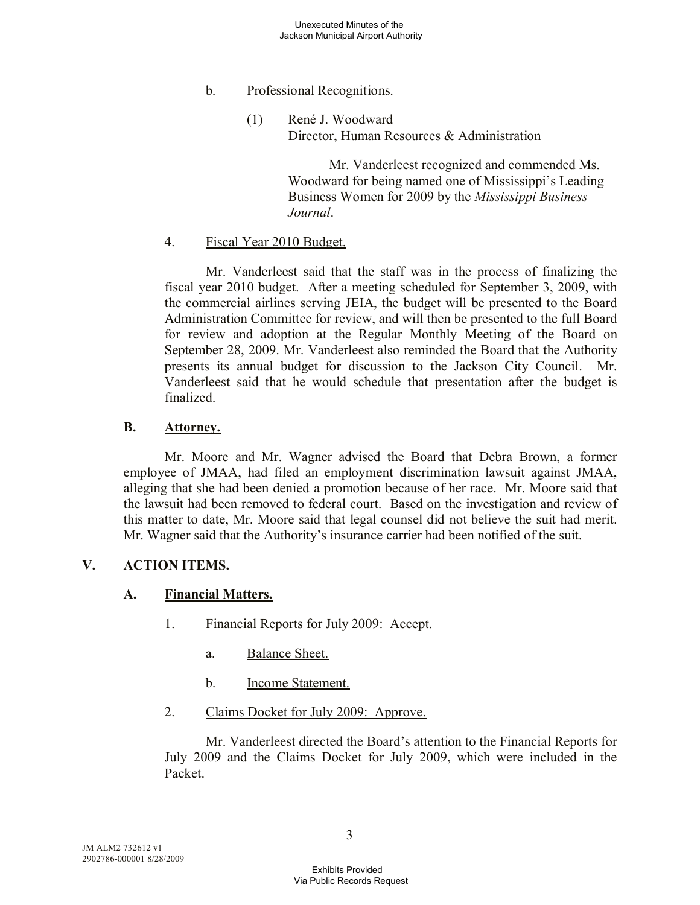### b. Professional Recognitions.

(1) René J. Woodward Director, Human Resources & Administration

> Mr. Vanderleest recognized and commended Ms. Woodward for being named one of Mississippi's Leading Business Women for 2009 by the *Mississippi Business Journal*.

## 4. Fiscal Year 2010 Budget.

Mr. Vanderleest said that the staff was in the process of finalizing the fiscal year 2010 budget. After a meeting scheduled for September 3, 2009, with the commercial airlines serving JEIA, the budget will be presented to the Board Administration Committee for review, and will then be presented to the full Board for review and adoption at the Regular Monthly Meeting of the Board on September 28, 2009. Mr. Vanderleest also reminded the Board that the Authority presents its annual budget for discussion to the Jackson City Council. Mr. Vanderleest said that he would schedule that presentation after the budget is finalized.

### **B. Attorney.**

Mr. Moore and Mr. Wagner advised the Board that Debra Brown, a former employee of JMAA, had filed an employment discrimination lawsuit against JMAA, alleging that she had been denied a promotion because of her race. Mr. Moore said that the lawsuit had been removed to federal court. Based on the investigation and review of this matter to date, Mr. Moore said that legal counsel did not believe the suit had merit. Mr. Wagner said that the Authority's insurance carrier had been notified of the suit.

# **V. ACTION ITEMS.**

### **A. Financial Matters.**

- 1. Financial Reports for July 2009: Accept.
	- a. Balance Sheet.
	- b. Income Statement.
- 2. Claims Docket for July 2009: Approve.

Mr. Vanderleest directed the Board's attention to the Financial Reports for July 2009 and the Claims Docket for July 2009, which were included in the Packet.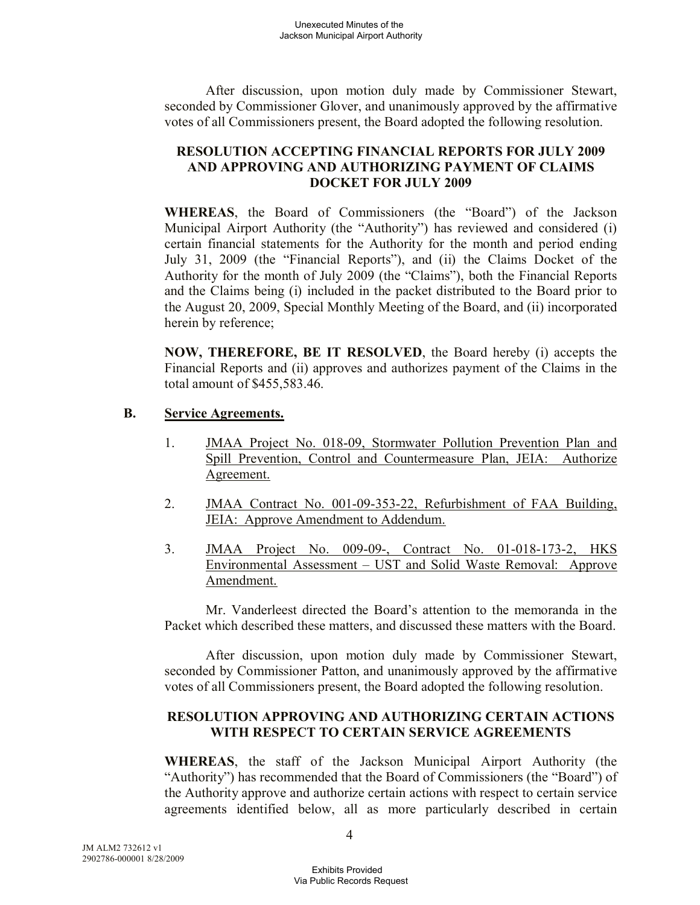After discussion, upon motion duly made by Commissioner Stewart, seconded by Commissioner Glover, and unanimously approved by the affirmative votes of all Commissioners present, the Board adopted the following resolution.

#### **RESOLUTION ACCEPTING FINANCIAL REPORTS FOR JULY 2009 AND APPROVING AND AUTHORIZING PAYMENT OF CLAIMS DOCKET FOR JULY 2009**

**WHEREAS**, the Board of Commissioners (the "Board") of the Jackson Municipal Airport Authority (the "Authority") has reviewed and considered (i) certain financial statements for the Authority for the month and period ending July 31, 2009 (the "Financial Reports"), and (ii) the Claims Docket of the Authority for the month of July 2009 (the "Claims"), both the Financial Reports and the Claims being (i) included in the packet distributed to the Board prior to the August 20, 2009, Special Monthly Meeting of the Board, and (ii) incorporated herein by reference;

**NOW, THEREFORE, BE IT RESOLVED**, the Board hereby (i) accepts the Financial Reports and (ii) approves and authorizes payment of the Claims in the total amount of \$455,583.46.

### **B. Service Agreements.**

- 1. JMAA Project No. 018-09, Stormwater Pollution Prevention Plan and Spill Prevention, Control and Countermeasure Plan, JEIA: Authorize Agreement.
- 2. JMAA Contract No. 001-09-353-22, Refurbishment of FAA Building, JEIA: Approve Amendment to Addendum.
- 3. JMAA Project No. 009-09-, Contract No. 01-018-173-2, HKS Environmental Assessment – UST and Solid Waste Removal: Approve Amendment.

Mr. Vanderleest directed the Board's attention to the memoranda in the Packet which described these matters, and discussed these matters with the Board.

After discussion, upon motion duly made by Commissioner Stewart, seconded by Commissioner Patton, and unanimously approved by the affirmative votes of all Commissioners present, the Board adopted the following resolution.

### **RESOLUTION APPROVING AND AUTHORIZING CERTAIN ACTIONS WITH RESPECT TO CERTAIN SERVICE AGREEMENTS**

**WHEREAS**, the staff of the Jackson Municipal Airport Authority (the "Authority") has recommended that the Board of Commissioners (the "Board") of the Authority approve and authorize certain actions with respect to certain service agreements identified below, all as more particularly described in certain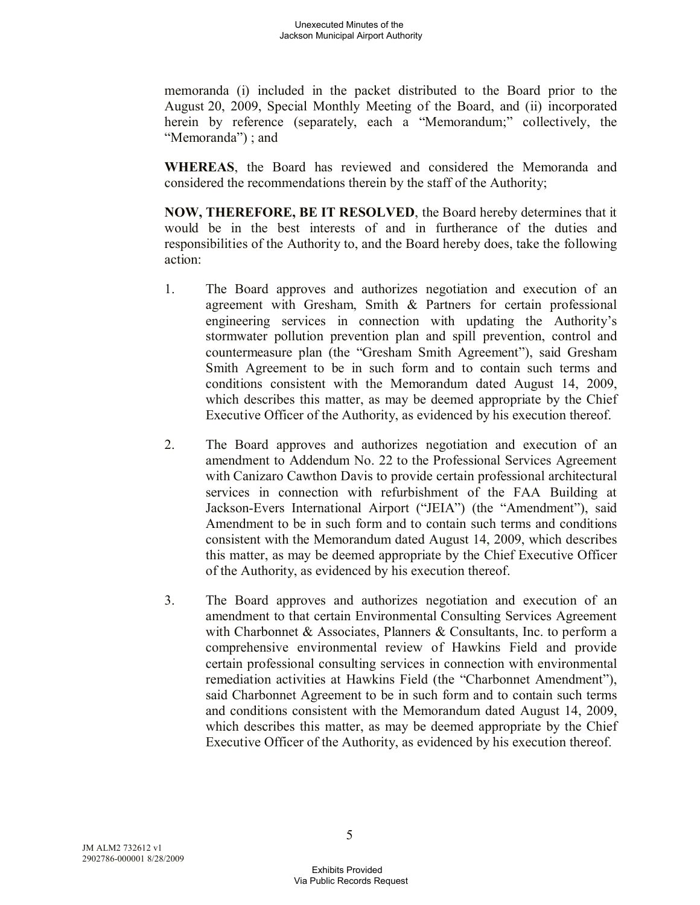memoranda (i) included in the packet distributed to the Board prior to the August 20, 2009, Special Monthly Meeting of the Board, and (ii) incorporated herein by reference (separately, each a "Memorandum;" collectively, the "Memoranda"); and

**WHEREAS**, the Board has reviewed and considered the Memoranda and considered the recommendations therein by the staff of the Authority;

**NOW, THEREFORE, BE IT RESOLVED**, the Board hereby determines that it would be in the best interests of and in furtherance of the duties and responsibilities of the Authority to, and the Board hereby does, take the following action:

- 1. The Board approves and authorizes negotiation and execution of an agreement with Gresham, Smith & Partners for certain professional engineering services in connection with updating the Authority's stormwater pollution prevention plan and spill prevention, control and countermeasure plan (the "Gresham Smith Agreement"), said Gresham Smith Agreement to be in such form and to contain such terms and conditions consistent with the Memorandum dated August 14, 2009, which describes this matter, as may be deemed appropriate by the Chief Executive Officer of the Authority, as evidenced by his execution thereof.
- 2. The Board approves and authorizes negotiation and execution of an amendment to Addendum No. 22 to the Professional Services Agreement with Canizaro Cawthon Davis to provide certain professional architectural services in connection with refurbishment of the FAA Building at Jackson-Evers International Airport ("JEIA") (the "Amendment"), said Amendment to be in such form and to contain such terms and conditions consistent with the Memorandum dated August 14, 2009, which describes this matter, as may be deemed appropriate by the Chief Executive Officer of the Authority, as evidenced by his execution thereof.
- 3. The Board approves and authorizes negotiation and execution of an amendment to that certain Environmental Consulting Services Agreement with Charbonnet & Associates, Planners & Consultants, Inc. to perform a comprehensive environmental review of Hawkins Field and provide certain professional consulting services in connection with environmental remediation activities at Hawkins Field (the "Charbonnet Amendment"), said Charbonnet Agreement to be in such form and to contain such terms and conditions consistent with the Memorandum dated August 14, 2009, which describes this matter, as may be deemed appropriate by the Chief Executive Officer of the Authority, as evidenced by his execution thereof.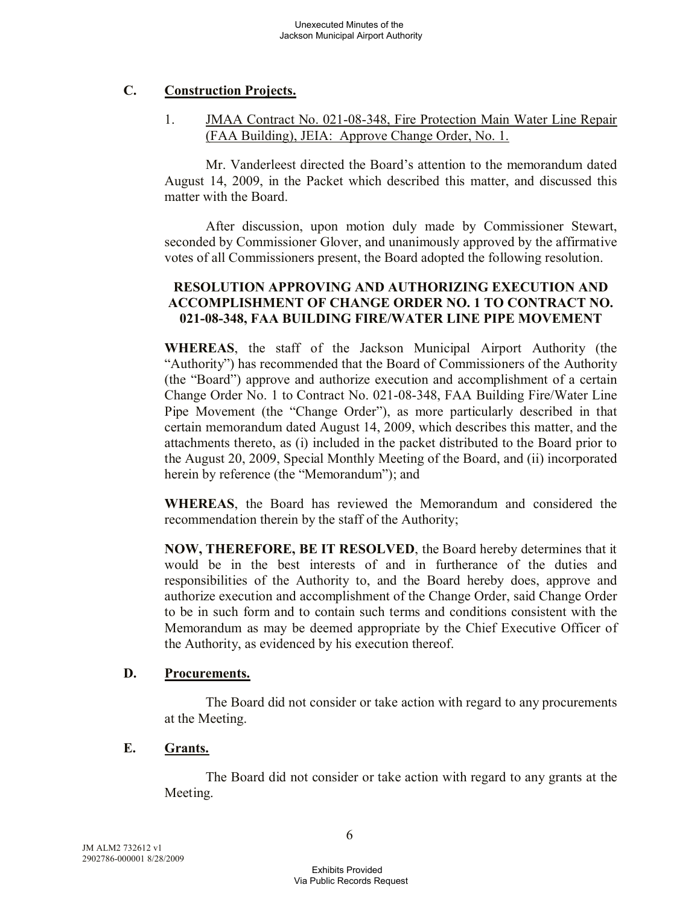## **C. Construction Projects.**

1. JMAA Contract No. 021-08-348, Fire Protection Main Water Line Repair (FAA Building), JEIA: Approve Change Order, No. 1.

Mr. Vanderleest directed the Board's attention to the memorandum dated August 14, 2009, in the Packet which described this matter, and discussed this matter with the Board.

After discussion, upon motion duly made by Commissioner Stewart, seconded by Commissioner Glover, and unanimously approved by the affirmative votes of all Commissioners present, the Board adopted the following resolution.

#### **RESOLUTION APPROVING AND AUTHORIZING EXECUTION AND ACCOMPLISHMENT OF CHANGE ORDER NO. 1 TO CONTRACT NO. 021-08-348, FAA BUILDING FIRE/WATER LINE PIPE MOVEMENT**

**WHEREAS**, the staff of the Jackson Municipal Airport Authority (the "Authority") has recommended that the Board of Commissioners of the Authority (the "Board") approve and authorize execution and accomplishment of a certain Change Order No. 1 to Contract No. 021-08-348, FAA Building Fire/Water Line Pipe Movement (the "Change Order"), as more particularly described in that certain memorandum dated August 14, 2009, which describes this matter, and the attachments thereto, as (i) included in the packet distributed to the Board prior to the August 20, 2009, Special Monthly Meeting of the Board, and (ii) incorporated herein by reference (the "Memorandum"); and

**WHEREAS**, the Board has reviewed the Memorandum and considered the recommendation therein by the staff of the Authority;

**NOW, THEREFORE, BE IT RESOLVED**, the Board hereby determines that it would be in the best interests of and in furtherance of the duties and responsibilities of the Authority to, and the Board hereby does, approve and authorize execution and accomplishment of the Change Order, said Change Order to be in such form and to contain such terms and conditions consistent with the Memorandum as may be deemed appropriate by the Chief Executive Officer of the Authority, as evidenced by his execution thereof.

### **D. Procurements.**

The Board did not consider or take action with regard to any procurements at the Meeting.

### **E. Grants.**

The Board did not consider or take action with regard to any grants at the Meeting.